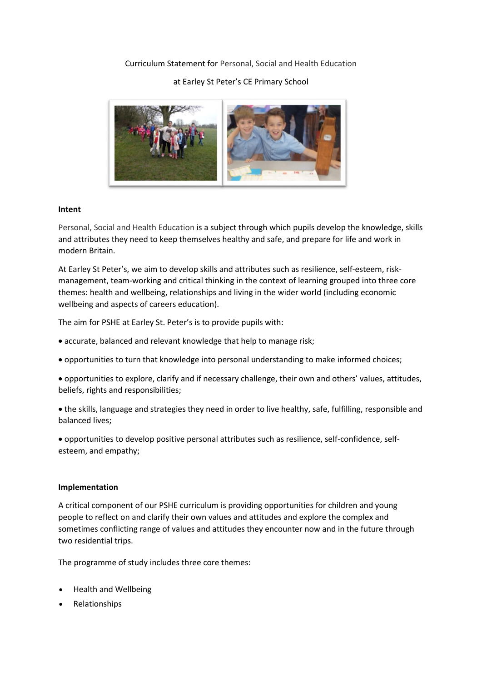# Curriculum Statement for Personal, Social and Health Education

# at Earley St Peter's CE Primary School



## **Intent**

Personal, Social and Health Education is a subject through which pupils develop the knowledge, skills and attributes they need to keep themselves healthy and safe, and prepare for life and work in modern Britain.

At Earley St Peter's, we aim to develop skills and attributes such as resilience, self-esteem, riskmanagement, team-working and critical thinking in the context of learning grouped into three core themes: health and wellbeing, relationships and living in the wider world (including economic wellbeing and aspects of careers education).

The aim for PSHE at Earley St. Peter's is to provide pupils with:

- accurate, balanced and relevant knowledge that help to manage risk;
- opportunities to turn that knowledge into personal understanding to make informed choices;
- opportunities to explore, clarify and if necessary challenge, their own and others' values, attitudes, beliefs, rights and responsibilities;
- the skills, language and strategies they need in order to live healthy, safe, fulfilling, responsible and balanced lives;

 opportunities to develop positive personal attributes such as resilience, self-confidence, selfesteem, and empathy;

#### **Implementation**

A critical component of our PSHE curriculum is providing opportunities for children and young people to reflect on and clarify their own values and attitudes and explore the complex and sometimes conflicting range of values and attitudes they encounter now and in the future through two residential trips.

The programme of study includes three core themes:

- Health and Wellbeing
- Relationships